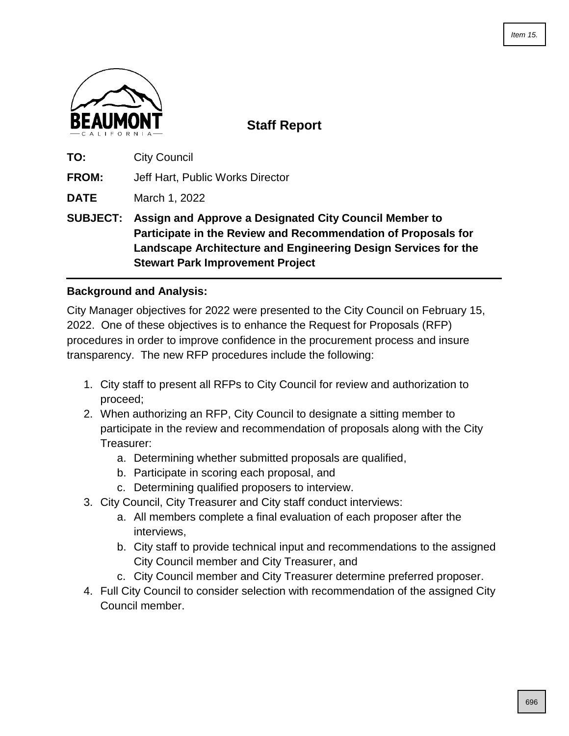

**Staff Report**

**TO:** City Council

**FROM:** Jeff Hart, Public Works Director

**DATE** March 1, 2022

**SUBJECT: Assign and Approve a Designated City Council Member to Participate in the Review and Recommendation of Proposals for Landscape Architecture and Engineering Design Services for the Stewart Park Improvement Project**

# **Background and Analysis:**

City Manager objectives for 2022 were presented to the City Council on February 15, 2022. One of these objectives is to enhance the Request for Proposals (RFP) procedures in order to improve confidence in the procurement process and insure transparency. The new RFP procedures include the following:

- 1. City staff to present all RFPs to City Council for review and authorization to proceed;
- 2. When authorizing an RFP, City Council to designate a sitting member to participate in the review and recommendation of proposals along with the City Treasurer:
	- a. Determining whether submitted proposals are qualified,
	- b. Participate in scoring each proposal, and
	- c. Determining qualified proposers to interview.
- 3. City Council, City Treasurer and City staff conduct interviews:
	- a. All members complete a final evaluation of each proposer after the interviews,
	- b. City staff to provide technical input and recommendations to the assigned City Council member and City Treasurer, and
	- c. City Council member and City Treasurer determine preferred proposer.
- 4. Full City Council to consider selection with recommendation of the assigned City Council member.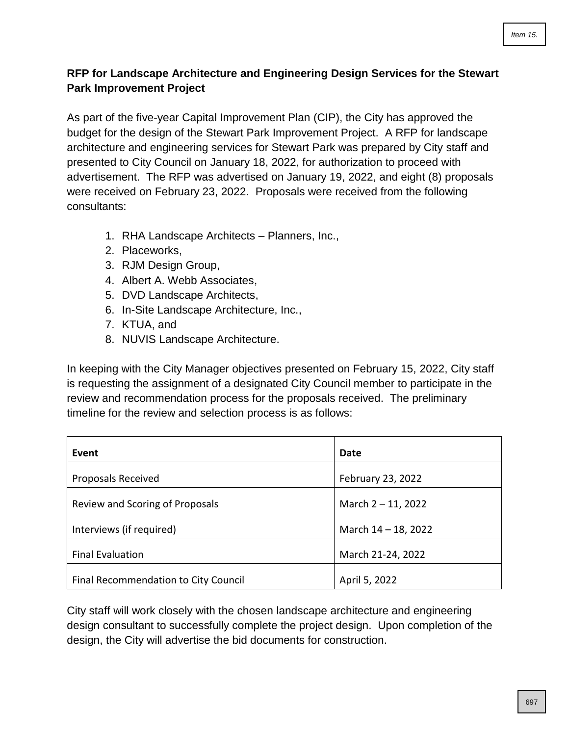# **RFP for Landscape Architecture and Engineering Design Services for the Stewart Park Improvement Project**

As part of the five-year Capital Improvement Plan (CIP), the City has approved the budget for the design of the Stewart Park Improvement Project. A RFP for landscape architecture and engineering services for Stewart Park was prepared by City staff and presented to City Council on January 18, 2022, for authorization to proceed with advertisement. The RFP was advertised on January 19, 2022, and eight (8) proposals were received on February 23, 2022. Proposals were received from the following consultants:

- 1. RHA Landscape Architects Planners, Inc.,
- 2. Placeworks,
- 3. RJM Design Group,
- 4. Albert A. Webb Associates,
- 5. DVD Landscape Architects,
- 6. In-Site Landscape Architecture, Inc.,
- 7. KTUA, and
- 8. NUVIS Landscape Architecture.

In keeping with the City Manager objectives presented on February 15, 2022, City staff is requesting the assignment of a designated City Council member to participate in the review and recommendation process for the proposals received. The preliminary timeline for the review and selection process is as follows:

| Event                                | Date                |
|--------------------------------------|---------------------|
| <b>Proposals Received</b>            | February 23, 2022   |
| Review and Scoring of Proposals      | March 2-11, 2022    |
| Interviews (if required)             | March 14 - 18, 2022 |
| <b>Final Evaluation</b>              | March 21-24, 2022   |
| Final Recommendation to City Council | April 5, 2022       |

City staff will work closely with the chosen landscape architecture and engineering design consultant to successfully complete the project design. Upon completion of the design, the City will advertise the bid documents for construction.